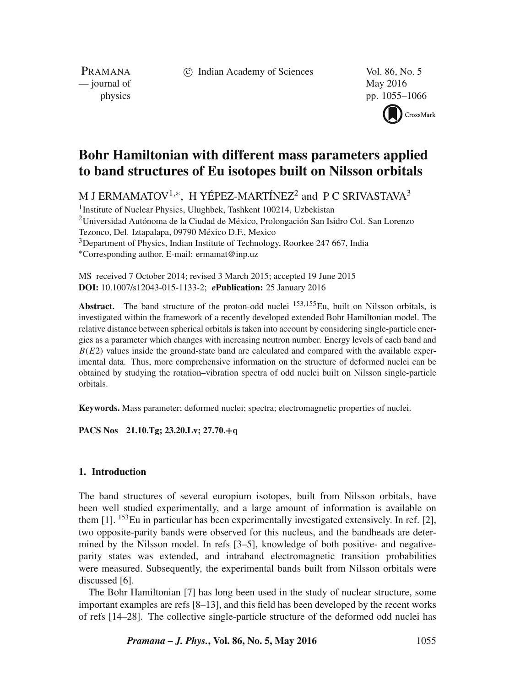c Indian Academy of Sciences Vol. 86, No. 5

PRAMANA — journal of May 2016

physics pp. 1055–1066

CrossMark

# **Bohr Hamiltonian with different mass parameters applied to band structures of Eu isotopes built on Nilsson orbitals**

M J ERMAMATOV<sup>1,\*</sup>, H YÉPEZ-MARTÍNEZ<sup>2</sup> and P C SRIVASTAVA<sup>3</sup>

<sup>1</sup>Institute of Nuclear Physics, Ulughbek, Tashkent 100214, Uzbekistan 2Universidad Autónoma de la Ciudad de México, Prolongación San Isidro Col. San Lorenzo Tezonco, Del. Iztapalapa, 09790 México D.F., Mexico <sup>3</sup>Department of Physics, Indian Institute of Technology, Roorkee 247 667, India ∗Corresponding author. E-mail: ermamat@inp.uz

MS received 7 October 2014; revised 3 March 2015; accepted 19 June 2015 **DOI:** 10.1007/s12043-015-1133-2; *e***Publication:** 25 January 2016

**Abstract.** The band structure of the proton-odd nuclei  $^{153,155}$ Eu, built on Nilsson orbitals, is investigated within the framework of a recently developed extended Bohr Hamiltonian model. The relative distance between spherical orbitals is taken into account by considering single-particle energies as a parameter which changes with increasing neutron number. Energy levels of each band and  $B(E2)$  values inside the ground-state band are calculated and compared with the available experimental data. Thus, more comprehensive information on the structure of deformed nuclei can be obtained by studying the rotation–vibration spectra of odd nuclei built on Nilsson single-particle orbitals.

**Keywords.** Mass parameter; deformed nuclei; spectra; electromagnetic properties of nuclei.

**PACS Nos 21.10.Tg; 23.20.Lv; 27.70.+q**

### **1. Introduction**

The band structures of several europium isotopes, built from Nilsson orbitals, have been well studied experimentally, and a large amount of information is available on them  $[1]$ . <sup>153</sup>Eu in particular has been experimentally investigated extensively. In ref. [2], two opposite-parity bands were observed for this nucleus, and the bandheads are determined by the Nilsson model. In refs [3–5], knowledge of both positive- and negativeparity states was extended, and intraband electromagnetic transition probabilities were measured. Subsequently, the experimental bands built from Nilsson orbitals were discussed [6].

The Bohr Hamiltonian [7] has long been used in the study of nuclear structure, some important examples are refs [8–13], and this field has been developed by the recent works of refs [14–28]. The collective single-particle structure of the deformed odd nuclei has

*Pramana – J. Phys.***, Vol. 86, No. 5, May 2016** 1055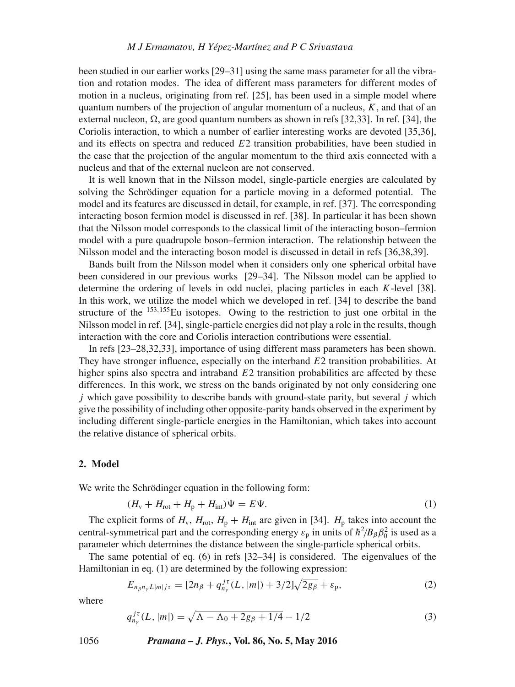been studied in our earlier works [29–31] using the same mass parameter for all the vibration and rotation modes. The idea of different mass parameters for different modes of motion in a nucleus, originating from ref. [25], has been used in a simple model where quantum numbers of the projection of angular momentum of a nucleus,  $K$ , and that of an external nucleon,  $\Omega$ , are good quantum numbers as shown in refs [32,33]. In ref. [34], the Coriolis interaction, to which a number of earlier interesting works are devoted [35,36], and its effects on spectra and reduced  $E_2$  transition probabilities, have been studied in the case that the projection of the angular momentum to the third axis connected with a nucleus and that of the external nucleon are not conserved.

It is well known that in the Nilsson model, single-particle energies are calculated by solving the Schrödinger equation for a particle moving in a deformed potential. The model and its features are discussed in detail, for example, in ref. [37]. The corresponding interacting boson fermion model is discussed in ref. [38]. In particular it has been shown that the Nilsson model corresponds to the classical limit of the interacting boson–fermion model with a pure quadrupole boson–fermion interaction. The relationship between the Nilsson model and the interacting boson model is discussed in detail in refs [36,38,39].

Bands built from the Nilsson model when it considers only one spherical orbital have been considered in our previous works [29–34]. The Nilsson model can be applied to determine the ordering of levels in odd nuclei, placing particles in each  $K$ -level [38]. In this work, we utilize the model which we developed in ref. [34] to describe the band structure of the  $153,155$ Eu isotopes. Owing to the restriction to just one orbital in the Nilsson model in ref. [34], single-particle energies did not play a role in the results, though interaction with the core and Coriolis interaction contributions were essential.

In refs [23–28,32,33], importance of using different mass parameters has been shown. They have stronger influence, especially on the interband  $E2$  transition probabilities. At higher spins also spectra and intraband  $E2$  transition probabilities are affected by these differences. In this work, we stress on the bands originated by not only considering one  $j$  which gave possibility to describe bands with ground-state parity, but several  $j$  which give the possibility of including other opposite-parity bands observed in the experiment by including different single-particle energies in the Hamiltonian, which takes into account the relative distance of spherical orbits.

#### **2. Model**

We write the Schrödinger equation in the following form:

$$
(H_{\rm v} + H_{\rm rot} + H_{\rm p} + H_{\rm int})\Psi = E\Psi.
$$
\n<sup>(1)</sup>

The explicit forms of  $H_v$ ,  $H_{\text{rot}}$ ,  $H_p + H_{\text{int}}$  are given in [34].  $H_p$  takes into account the central-symmetrical part and the corresponding energy  $\varepsilon_p$  in units of  $\hbar^2/B_\beta\beta_0^2$  is used as a parameter which determines the distance between the single-particle spherical orbits.

The same potential of eq. (6) in refs [32–34] is considered. The eigenvalues of the Hamiltonian in eq. (1) are determined by the following expression:

$$
E_{n_{\beta}n_{\gamma}L|m|j\tau} = [2n_{\beta} + q_{n_{\gamma}}^{j\tau}(L, |m|) + 3/2]\sqrt{2g_{\beta}} + \varepsilon_{p}, \qquad (2)
$$

where

$$
q_{n_{\gamma}}^{j\tau}(L, |m|) = \sqrt{\Lambda - \Lambda_0 + 2g_{\beta} + 1/4} - 1/2
$$
 (3)

1056 *Pramana – J. Phys.***, Vol. 86, No. 5, May 2016**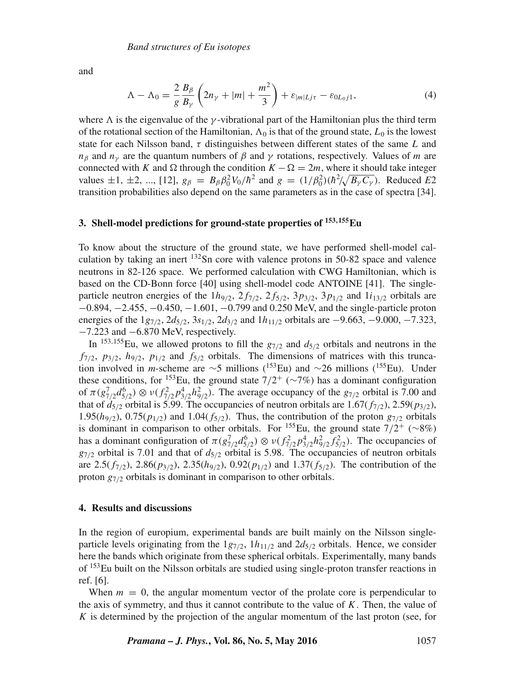and

$$
\Lambda - \Lambda_0 = \frac{2}{g} \frac{B_\beta}{B_\gamma} \left( 2n_\gamma + |m| + \frac{m^2}{3} \right) + \varepsilon_{|m|Lj\tau} - \varepsilon_{0L_0j1},\tag{4}
$$

where  $\Lambda$  is the eigenvalue of the  $\gamma$ -vibrational part of the Hamiltonian plus the third term of the rotational section of the Hamiltonian,  $\Lambda_0$  is that of the ground state,  $L_0$  is the lowest state for each Nilsson band,  $\tau$  distinguishes between different states of the same L and  $n<sub>β</sub>$  and  $n<sub>γ</sub>$  are the quantum numbers of  $β$  and  $γ$  rotations, respectively. Values of m are connected with K and  $\Omega$  through the condition  $K - \Omega = 2m$ , where it should take integer values  $\pm 1, \pm 2, ..., [12], g_{\beta} = B_{\beta} \beta_0^2 V_0 / \hbar^2$  and  $g = (1/\beta_0^2)(\hbar^2 / \sqrt{B_{\gamma} C_{\gamma}})$ . Reduced *E2* transition probabilities also depend on the same parameters as in the case of spectra [34].

#### **3. Shell-model predictions for ground-state properties of <sup>153</sup>***,***155Eu**

To know about the structure of the ground state, we have performed shell-model calculation by taking an inert  $^{132}$ Sn core with valence protons in 50-82 space and valence neutrons in 82-126 space. We performed calculation with CWG Hamiltonian, which is based on the CD-Bonn force [40] using shell-model code ANTOINE [41]. The singleparticle neutron energies of the  $1h_{9/2}$ ,  $2f_{7/2}$ ,  $2f_{5/2}$ ,  $3p_{3/2}$ ,  $3p_{1/2}$  and  $1i_{13/2}$  orbitals are −0.894, −2.455, −0.450, −1.601, −0.799 and 0.250 MeV, and the single-particle proton energies of the  $1g_{7/2}$ ,  $2d_{5/2}$ ,  $3s_{1/2}$ ,  $2d_{3/2}$  and  $1h_{11/2}$  orbitals are  $-9.663$ ,  $-9.000$ ,  $-7.323$ , −7.223 and −6.870 MeV, respectively.

In <sup>153,155</sup>Eu, we allowed protons to fill the  $g_{7/2}$  and  $d_{5/2}$  orbitals and neutrons in the  $f_{7/2}$ ,  $p_{3/2}$ ,  $h_{9/2}$ ,  $p_{1/2}$  and  $f_{5/2}$  orbitals. The dimensions of matrices with this truncation involved in *m*-scheme are ∼5 millions (153Eu) and ∼26 millions (155Eu). Under these conditions, for <sup>153</sup>Eu, the ground state  $7/2^+$  (∼7%) has a dominant configuration of  $\pi(g_{7/2}^7 d_{5/2}^6) \otimes \nu(f_{7/2}^2 p_{3/2}^4 h_{9/2}^2)$ . The average occupancy of the  $g_{7/2}$  orbital is 7.00 and that of  $d_{5/2}$  orbital is 5.99. The occupancies of neutron orbitals are 1.67( $f_{7/2}$ ), 2.59( $p_{3/2}$ ), 1.95( $h_{9/2}$ ), 0.75( $p_{1/2}$ ) and 1.04( $f_{5/2}$ ). Thus, the contribution of the proton  $g_{7/2}$  orbitals is dominant in comparison to other orbitals. For <sup>155</sup>Eu, the ground state  $7/2^+$  (∼8%) has a dominant configuration of  $\pi(g_{7/2}^7 d_{5/2}^6) \otimes \nu(f_{7/2}^2 p_{3/2}^4 h_{9/2}^2 f_{5/2}^2)$ . The occupancies of  $g_{7/2}$  orbital is 7.01 and that of  $d_{5/2}$  orbital is 5.98. The occupancies of neutron orbitals are 2.5( $f_{7/2}$ ), 2.86( $p_{3/2}$ ), 2.35( $h_{9/2}$ ), 0.92( $p_{1/2}$ ) and 1.37( $f_{5/2}$ ). The contribution of the proton  $g_{7/2}$  orbitals is dominant in comparison to other orbitals.

#### **4. Results and discussions**

In the region of europium, experimental bands are built mainly on the Nilsson singleparticle levels originating from the  $1g_{7/2}$ ,  $1h_{11/2}$  and  $2d_{5/2}$  orbitals. Hence, we consider here the bands which originate from these spherical orbitals. Experimentally, many bands of 153Eu built on the Nilsson orbitals are studied using single-proton transfer reactions in ref. [6].

When  $m = 0$ , the angular momentum vector of the prolate core is perpendicular to the axis of symmetry, and thus it cannot contribute to the value of  $K$ . Then, the value of K is determined by the projection of the angular momentum of the last proton (see, for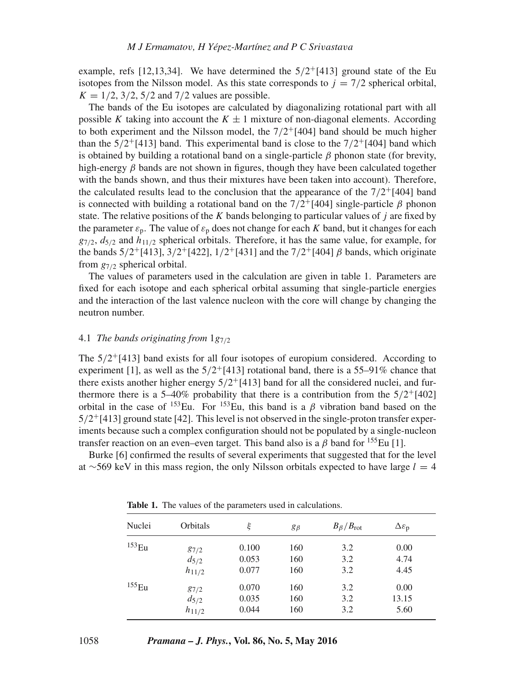example, refs [12,13,34]. We have determined the  $5/2^{+}[413]$  ground state of the Eu isotopes from the Nilsson model. As this state corresponds to  $i = 7/2$  spherical orbital,  $K = 1/2$ , 3/2, 5/2 and 7/2 values are possible.

The bands of the Eu isotopes are calculated by diagonalizing rotational part with all possible K taking into account the  $K \pm 1$  mixture of non-diagonal elements. According to both experiment and the Nilsson model, the  $7/2^{+}[404]$  band should be much higher than the  $5/2$ <sup>+</sup>[413] band. This experimental band is close to the  $7/2$ <sup>+</sup>[404] band which is obtained by building a rotational band on a single-particle  $\beta$  phonon state (for brevity, high-energy  $\beta$  bands are not shown in figures, though they have been calculated together with the bands shown, and thus their mixtures have been taken into account). Therefore, the calculated results lead to the conclusion that the appearance of the  $7/2$ +[404] band is connected with building a rotational band on the  $7/2^{+}[404]$  single-particle  $\beta$  phonon state. The relative positions of the  $K$  bands belonging to particular values of  $j$  are fixed by the parameter  $\varepsilon_p$ . The value of  $\varepsilon_p$  does not change for each K band, but it changes for each  $g_{7/2}$ ,  $d_{5/2}$  and  $h_{11/2}$  spherical orbitals. Therefore, it has the same value, for example, for the bands  $5/2^{+}[413]$ ,  $3/2^{+}[422]$ ,  $1/2^{+}[431]$  and the  $7/2^{+}[404]$   $\beta$  bands, which originate from  $g_{7/2}$  spherical orbital.

The values of parameters used in the calculation are given in table 1. Parameters are fixed for each isotope and each spherical orbital assuming that single-particle energies and the interaction of the last valence nucleon with the core will change by changing the neutron number.

# 4.1 *The bands originating from*  $1g_{7/2}$

The  $5/2$ <sup>+</sup>[413] band exists for all four isotopes of europium considered. According to experiment [1], as well as the  $5/2$ <sup>+</sup>[413] rotational band, there is a 55–91% chance that there exists another higher energy  $5/2$ <sup>+</sup>[413] band for all the considered nuclei, and furthermore there is a 5–40% probability that there is a contribution from the  $5/2^{+}[402]$ orbital in the case of  $^{153}$ Eu. For  $^{153}$ Eu, this band is a  $\beta$  vibration band based on the  $5/2$ <sup>+</sup>[413] ground state [42]. This level is not observed in the single-proton transfer experiments because such a complex configuration should not be populated by a single-nucleon transfer reaction on an even–even target. This band also is a  $\beta$  band for <sup>155</sup>Eu [1].

Burke [6] confirmed the results of several experiments that suggested that for the level at ∼569 keV in this mass region, the only Nilsson orbitals expected to have large  $l = 4$ 

| Nuclei            | Orbitals   | ξ     | $g_{\beta}$ | $B_\beta/B_{\rm rot}$ | $\Delta \varepsilon_{p}$ |
|-------------------|------------|-------|-------------|-----------------------|--------------------------|
| 153 <sub>Eu</sub> | 87/2       | 0.100 | 160         | 3.2                   | 0.00                     |
|                   | $d_{5/2}$  | 0.053 | 160         | 3.2                   | 4.74                     |
|                   | $h_{11/2}$ | 0.077 | 160         | 3.2                   | 4.45                     |
| 155 <sub>Eu</sub> | 87/2       | 0.070 | 160         | 3.2                   | 0.00                     |
|                   | $d_{5/2}$  | 0.035 | 160         | 3.2                   | 13.15                    |
|                   | $h_{11/2}$ | 0.044 | 160         | 3.2                   | 5.60                     |

**Table 1.** The values of the parameters used in calculations.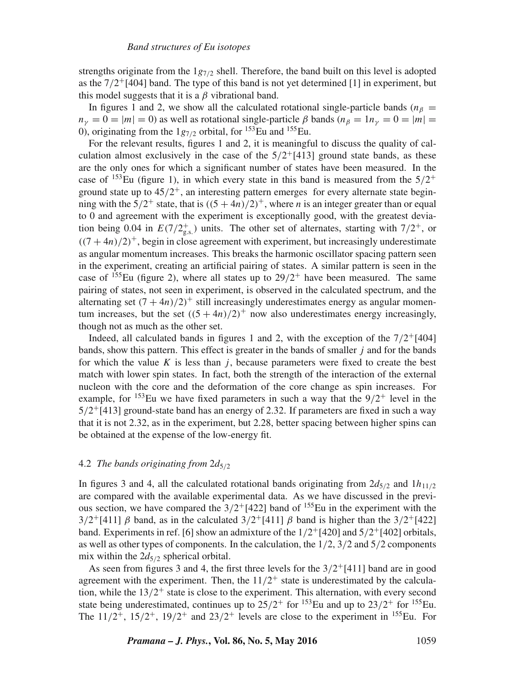strengths originate from the  $1g_{7/2}$  shell. Therefore, the band built on this level is adopted as the  $7/2$ <sup>+</sup>[404] band. The type of this band is not yet determined [1] in experiment, but this model suggests that it is a  $\beta$  vibrational band.

In figures 1 and 2, we show all the calculated rotational single-particle bands ( $n<sub>β</sub>$  =  $n_v = 0 = |m| = 0$ ) as well as rotational single-particle  $\beta$  bands  $(n_\beta = 1n_v = 0 = |m| =$ 0), originating from the  $1g_{7/2}$  orbital, for <sup>153</sup>Eu and <sup>155</sup>Eu.

For the relevant results, figures 1 and 2, it is meaningful to discuss the quality of calculation almost exclusively in the case of the  $5/2^{+}[413]$  ground state bands, as these are the only ones for which a significant number of states have been measured. In the case of <sup>153</sup>Eu (figure 1), in which every state in this band is measured from the  $5/2^+$ ground state up to  $45/2^+$ , an interesting pattern emerges for every alternate state beginning with the  $5/2^+$  state, that is  $((5+4n)/2)^+$ , where *n* is an integer greater than or equal to 0 and agreement with the experiment is exceptionally good, with the greatest deviation being 0.04 in  $E(7/2<sub>g.s.</sub><sup>+</sup>)$  units. The other set of alternates, starting with  $7/2<sup>+</sup>$ , or  $((7 + 4n)/2)^+$ , begin in close agreement with experiment, but increasingly underestimate as angular momentum increases. This breaks the harmonic oscillator spacing pattern seen in the experiment, creating an artificial pairing of states. A similar pattern is seen in the case of  $155$ Eu (figure 2), where all states up to  $29/2$ <sup>+</sup> have been measured. The same pairing of states, not seen in experiment, is observed in the calculated spectrum, and the alternating set  $(7 + 4n)/2$ <sup>+</sup> still increasingly underestimates energy as angular momentum increases, but the set  $((5+4n)/2)^+$  now also underestimates energy increasingly, though not as much as the other set.

Indeed, all calculated bands in figures 1 and 2, with the exception of the  $7/2^{+}[404]$ bands, show this pattern. This effect is greater in the bands of smaller  $j$  and for the bands for which the value  $K$  is less than  $j$ , because parameters were fixed to create the best match with lower spin states. In fact, both the strength of the interaction of the external nucleon with the core and the deformation of the core change as spin increases. For example, for <sup>153</sup>Eu we have fixed parameters in such a way that the  $9/2^+$  level in the  $5/2$ <sup>+</sup>[413] ground-state band has an energy of 2.32. If parameters are fixed in such a way that it is not 2.32, as in the experiment, but 2.28, better spacing between higher spins can be obtained at the expense of the low-energy fit.

### 4.2 *The bands originating from*  $2d_{5/2}$

In figures 3 and 4, all the calculated rotational bands originating from  $2d_{5/2}$  and  $1h_{11/2}$ are compared with the available experimental data. As we have discussed in the previous section, we have compared the  $3/2$ <sup>+</sup>[422] band of <sup>155</sup>Eu in the experiment with the  $3/2^{+}[411]$  β band, as in the calculated  $3/2^{+}[411]$  β band is higher than the  $3/2^{+}[422]$ band. Experiments in ref. [6] show an admixture of the  $1/2^{+}[420]$  and  $5/2^{+}[402]$  orbitals, as well as other types of components. In the calculation, the  $1/2$ ,  $3/2$  and  $5/2$  components mix within the  $2d_{5/2}$  spherical orbital.

As seen from figures 3 and 4, the first three levels for the  $3/2^{+}[411]$  band are in good agreement with the experiment. Then, the  $11/2^+$  state is underestimated by the calculation, while the  $13/2^+$  state is close to the experiment. This alternation, with every second state being underestimated, continues up to  $25/2^+$  for  $153$  Eu and up to  $23/2^+$  for  $155$  Eu. The  $11/2^+$ ,  $15/2^+$ ,  $19/2^+$  and  $23/2^+$  levels are close to the experiment in  $155$  Eu. For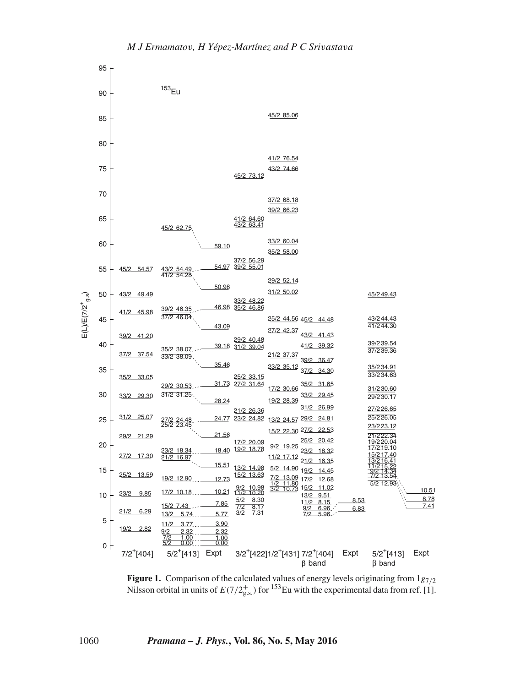

**Figure 1.** Comparison of the calculated values of energy levels originating from  $1g_{7/2}$ Nilsson orbital in units of  $E(7/2_{\text{g.s.}}^{+})$  for <sup>153</sup>Eu with the experimental data from ref. [1].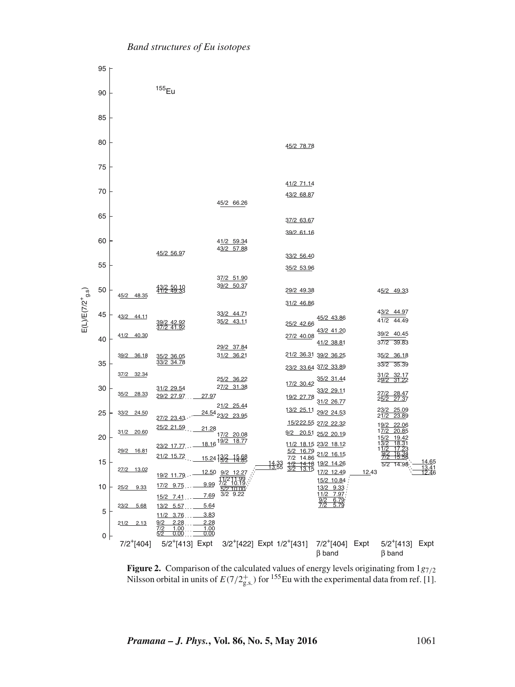

**Figure 2.** Comparison of the calculated values of energy levels originating from  $1g_{7/2}$ Nilsson orbital in units of  $E(7/2^+_{\text{g.s.}})$  for <sup>155</sup>Eu with the experimental data from ref. [1].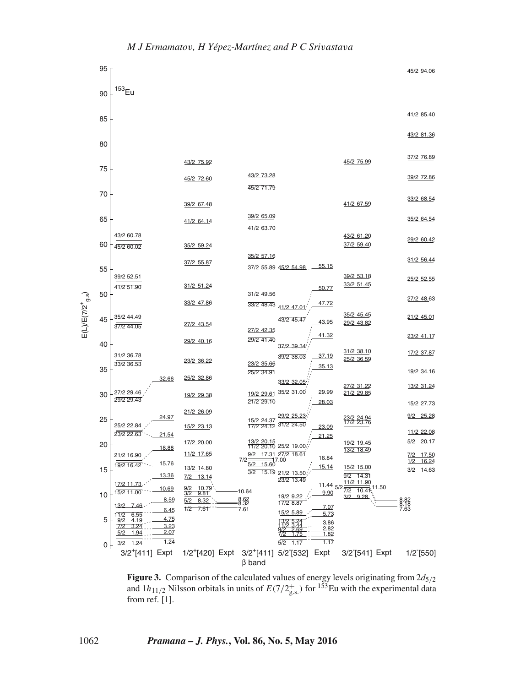

**Figure 3.** Comparison of the calculated values of energy levels originating from  $2d_{5/2}$ and  $1h_{11/2}$  Nilsson orbitals in units of  $E(7/2<sup>+</sup><sub>g.s.</sub>)$  for <sup>153</sup>Eu with the experimental data from ref. [1].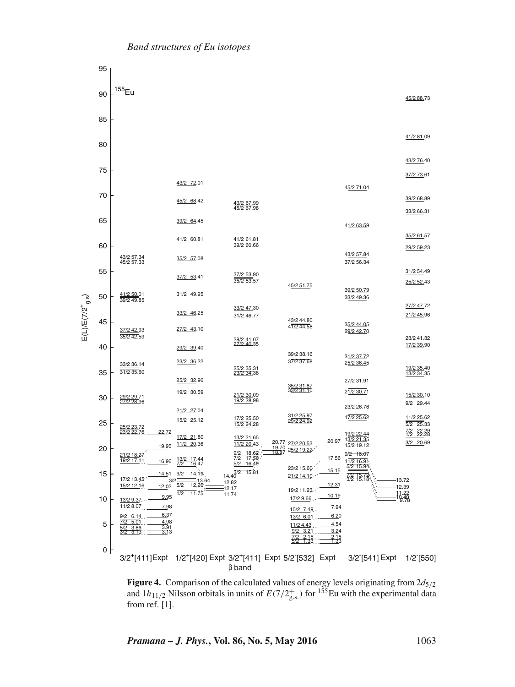

**Figure 4.** Comparison of the calculated values of energy levels originating from  $2d_{5/2}$ and  $1h_{11/2}$  Nilsson orbitals in units of  $E(7/2<sup>+</sup><sub>g.s.</sub>)$  for <sup>155</sup>Eu with the experimental data from ref. [1].

*Pramana – J. Phys.***, Vol. 86, No. 5, May 2016** 1063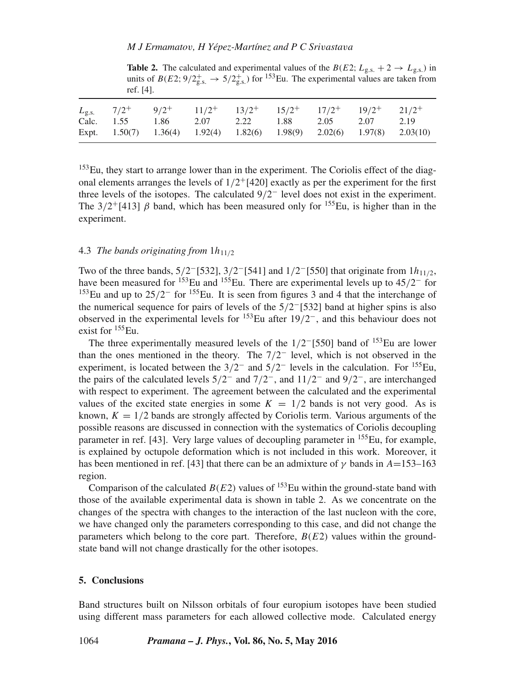**Table 2.** The calculated and experimental values of the  $B(E2; L_{\text{g.s.}} + 2 \rightarrow L_{\text{g.s.}})$  in units of  $B(E2; 9/2<sub>g.s.</sub><sup>+</sup> \rightarrow 5/2<sub>g.s.</sub><sup>+</sup>$  for <sup>153</sup>Eu. The experimental values are taken from ref. [4].

|  |                                          |  |  | $L_{\rm g.s.}$ $7/2^+$ $9/2^+$ $11/2^+$ $13/2^+$ $15/2^+$ $17/2^+$ $19/2^+$ $21/2^+$   |      |
|--|------------------------------------------|--|--|----------------------------------------------------------------------------------------|------|
|  | Calc. 1.55 1.86 2.07 2.22 1.88 2.05 2.07 |  |  |                                                                                        | 2.19 |
|  |                                          |  |  | Expt. $1.50(7)$ $1.36(4)$ $1.92(4)$ $1.82(6)$ $1.98(9)$ $2.02(6)$ $1.97(8)$ $2.03(10)$ |      |

153Eu, they start to arrange lower than in the experiment. The Coriolis effect of the diagonal elements arranges the levels of  $1/2$ <sup>+</sup>[420] exactly as per the experiment for the first three levels of the isotopes. The calculated  $9/2^-$  level does not exist in the experiment. The  $3/2$ <sup>+</sup>[413]  $\beta$  band, which has been measured only for <sup>155</sup>Eu, is higher than in the experiment.

## 4.3 *The bands originating from*  $1h_{11/2}$

Two of the three bands,  $5/2$ <sup>-</sup>[532],  $3/2$ <sup>-</sup>[541] and  $1/2$ <sup>-</sup>[550] that originate from  $1h_{11/2}$ , have been measured for <sup>153</sup>Eu and <sup>155</sup>Eu. There are experimental levels up to 45/2<sup>-</sup> for <sup>153</sup>Eu and up to  $25/2^-$  for <sup>155</sup>Eu. It is seen from figures 3 and 4 that the interchange of the numerical sequence for pairs of levels of the 5/2−[532] band at higher spins is also observed in the experimental levels for  $153$ Eu after  $19/2$ <sup>-</sup>, and this behaviour does not exist for <sup>155</sup>Eu.

The three experimentally measured levels of the  $1/2$ <sup>-[550]</sup> band of <sup>153</sup>Eu are lower than the ones mentioned in the theory. The 7/2<sup>−</sup> level, which is not observed in the experiment, is located between the  $3/2^-$  and  $5/2^-$  levels in the calculation. For <sup>155</sup>Eu, the pairs of the calculated levels  $5/2^-$  and  $7/2^-$ , and  $11/2^-$  and  $9/2^-$ , are interchanged with respect to experiment. The agreement between the calculated and the experimental values of the excited state energies in some  $K = 1/2$  bands is not very good. As is known,  $K = 1/2$  bands are strongly affected by Coriolis term. Various arguments of the possible reasons are discussed in connection with the systematics of Coriolis decoupling parameter in ref. [43]. Very large values of decoupling parameter in  $155$ Eu, for example, is explained by octupole deformation which is not included in this work. Moreover, it has been mentioned in ref. [43] that there can be an admixture of  $\gamma$  bands in A=153–163 region.

Comparison of the calculated  $B(E2)$  values of <sup>153</sup>Eu within the ground-state band with those of the available experimental data is shown in table 2. As we concentrate on the changes of the spectra with changes to the interaction of the last nucleon with the core, we have changed only the parameters corresponding to this case, and did not change the parameters which belong to the core part. Therefore,  $B(E2)$  values within the groundstate band will not change drastically for the other isotopes.

## **5. Conclusions**

Band structures built on Nilsson orbitals of four europium isotopes have been studied using different mass parameters for each allowed collective mode. Calculated energy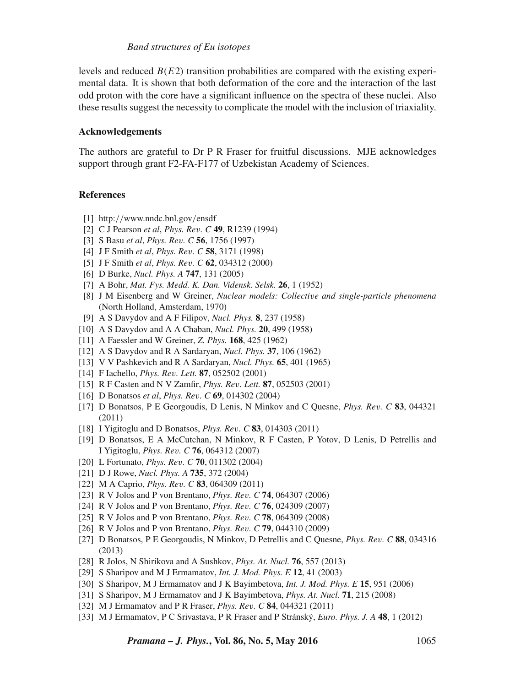levels and reduced  $B(E2)$  transition probabilities are compared with the existing experimental data. It is shown that both deformation of the core and the interaction of the last odd proton with the core have a significant influence on the spectra of these nuclei. Also these results suggest the necessity to complicate the model with the inclusion of triaxiality.

## **Acknowledgements**

The authors are grateful to Dr P R Fraser for fruitful discussions. MJE acknowledges support through grant F2-FA-F177 of Uzbekistan Academy of Sciences.

## **References**

- [1] http://www.nndc.bnl.gov/ensdf
- [2] C J Pearson *et al*, *Phys. Re*v*. C* **49**, R1239 (1994)
- [3] S Basu *et al*, *Phys. Re*v*. C* **56**, 1756 (1997)
- [4] J F Smith *et al*, *Phys. Re*v*. C* **58**, 3171 (1998)
- [5] J F Smith *et al*, *Phys. Re*v*. C* **62**, 034312 (2000)
- [6] D Burke, *Nucl. Phys. A* **747**, 131 (2005)
- [7] A Bohr, *Mat. Fys. Medd. K. Dan. Vidensk. Selsk.* **26**, 1 (1952)
- [8] J M Eisenberg and W Greiner, *Nuclear models: Collecti*v*e and single-particle phenomena* (North Holland, Amsterdam, 1970)
- [9] A S Davydov and A F Filipov, *Nucl. Phys.* **8**, 237 (1958)
- [10] A S Davydov and A A Chaban, *Nucl. Phys.* **20**, 499 (1958)
- [11] A Faessler and W Greiner, *Z. Phys.* **168**, 425 (1962)
- [12] A S Davydov and R A Sardaryan, *Nucl. Phys.* **37**, 106 (1962)
- [13] V V Pashkevich and R A Sardaryan, *Nucl. Phys.* **65**, 401 (1965)
- [14] F Iachello, *Phys. Re*v*. Lett.* **87**, 052502 (2001)
- [15] R F Casten and N V Zamfir, *Phys. Re*v*. Lett.* **87**, 052503 (2001)
- [16] D Bonatsos *et al*, *Phys. Re*v*. C* **69**, 014302 (2004)
- [17] D Bonatsos, P E Georgoudis, D Lenis, N Minkov and C Quesne, *Phys. Re*v*. C* **83**, 044321 (2011)
- [18] I Yigitoglu and D Bonatsos, *Phys. Re*v*. C* **83**, 014303 (2011)
- [19] D Bonatsos, E A McCutchan, N Minkov, R F Casten, P Yotov, D Lenis, D Petrellis and I Yigitoglu, *Phys. Re*v*. C* **76**, 064312 (2007)
- [20] L Fortunato, *Phys. Re*v*. C* **70**, 011302 (2004)
- [21] D J Rowe, *Nucl. Phys. A* **735**, 372 (2004)
- [22] M A Caprio, *Phys. Re*v*. C* **83**, 064309 (2011)
- [23] R V Jolos and P von Brentano, *Phys. Re*v*. C* **74**, 064307 (2006)
- [24] R V Jolos and P von Brentano, *Phys. Re*v*. C* **76**, 024309 (2007)
- [25] R V Jolos and P von Brentano, *Phys. Re*v*. C* **78**, 064309 (2008)
- [26] R V Jolos and P von Brentano, *Phys. Re*v*. C* **79**, 044310 (2009)
- [27] D Bonatsos, P E Georgoudis, N Minkov, D Petrellis and C Quesne, *Phys. Re*v*. C* **88**, 034316 (2013)
- [28] R Jolos, N Shirikova and A Sushkov, *Phys. At. Nucl.* **76**, 557 (2013)
- [29] S Sharipov and M J Ermamatov, *Int. J. Mod. Phys. E* **12**, 41 (2003)
- [30] S Sharipov, M J Ermamatov and J K Bayimbetova, *Int. J. Mod. Phys. E* **15**, 951 (2006)
- [31] S Sharipov, M J Ermamatov and J K Bayimbetova, *Phys. At. Nucl.* **71**, 215 (2008)
- [32] M J Ermamatov and P R Fraser, *Phys. Re*v*. C* **84**, 044321 (2011)
- [33] M J Ermamatov, P C Srivastava, P R Fraser and P Stránský, *Euro. Phys. J. A* **48**, 1 (2012)